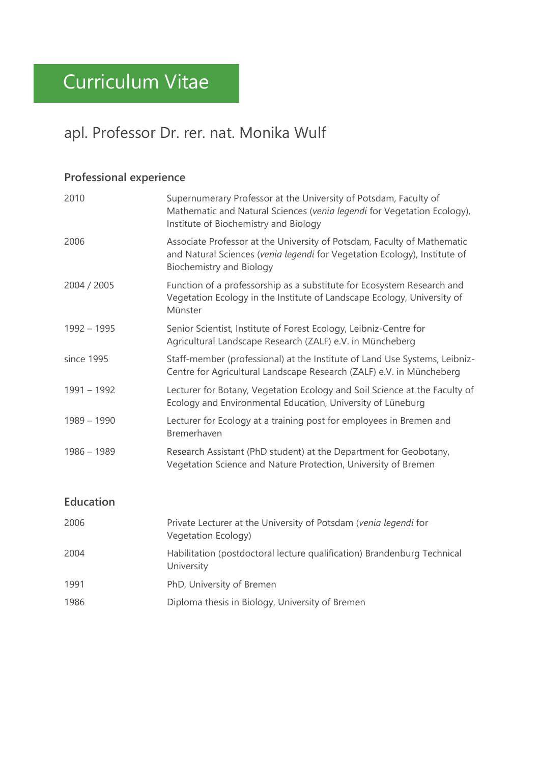# apl. Professor Dr. rer. nat. Monika Wulf

# **Professional experience**

| 2010          | Supernumerary Professor at the University of Potsdam, Faculty of<br>Mathematic and Natural Sciences (venia legendi for Vegetation Ecology),<br>Institute of Biochemistry and Biology    |
|---------------|-----------------------------------------------------------------------------------------------------------------------------------------------------------------------------------------|
| 2006          | Associate Professor at the University of Potsdam, Faculty of Mathematic<br>and Natural Sciences (venia legendi for Vegetation Ecology), Institute of<br><b>Biochemistry and Biology</b> |
| 2004 / 2005   | Function of a professorship as a substitute for Ecosystem Research and<br>Vegetation Ecology in the Institute of Landscape Ecology, University of<br>Münster                            |
| $1992 - 1995$ | Senior Scientist, Institute of Forest Ecology, Leibniz-Centre for<br>Agricultural Landscape Research (ZALF) e.V. in Müncheberg                                                          |
| since 1995    | Staff-member (professional) at the Institute of Land Use Systems, Leibniz-<br>Centre for Agricultural Landscape Research (ZALF) e.V. in Müncheberg                                      |
| $1991 - 1992$ | Lecturer for Botany, Vegetation Ecology and Soil Science at the Faculty of<br>Ecology and Environmental Education, University of Lüneburg                                               |
| $1989 - 1990$ | Lecturer for Ecology at a training post for employees in Bremen and<br>Bremerhaven                                                                                                      |
| $1986 - 1989$ | Research Assistant (PhD student) at the Department for Geobotany,<br>Vegetation Science and Nature Protection, University of Bremen                                                     |

## **Education**

| 2006 | Private Lecturer at the University of Potsdam (venia legendi for<br>Vegetation Ecology) |
|------|-----------------------------------------------------------------------------------------|
| 2004 | Habilitation (postdoctoral lecture qualification) Brandenburg Technical<br>University   |
| 1991 | PhD, University of Bremen                                                               |
| 1986 | Diploma thesis in Biology, University of Bremen                                         |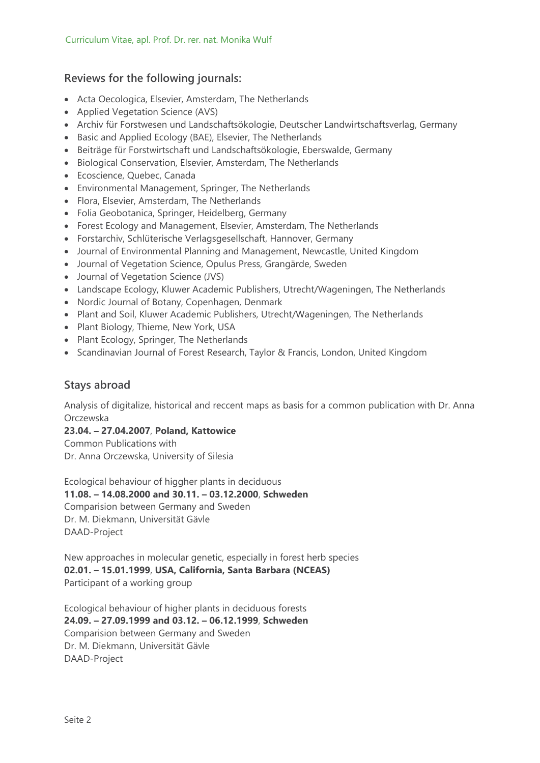### **Reviews for the following journals:**

- Acta Oecologica, Elsevier, Amsterdam, The Netherlands
- Applied Vegetation Science (AVS)
- Archiv für Forstwesen und Landschaftsökologie, Deutscher Landwirtschaftsverlag, Germany
- Basic and Applied Ecology (BAE), Elsevier, The Netherlands
- Beiträge für Forstwirtschaft und Landschaftsökologie, Eberswalde, Germany
- Biological Conservation, Elsevier, Amsterdam, The Netherlands
- Ecoscience, Quebec, Canada
- Environmental Management, Springer, The Netherlands
- Flora, Elsevier, Amsterdam, The Netherlands
- Folia Geobotanica, Springer, Heidelberg, Germany
- Forest Ecology and Management, Elsevier, Amsterdam, The Netherlands
- Forstarchiv, Schlüterische Verlagsgesellschaft, Hannover, Germany
- Journal of Environmental Planning and Management, Newcastle, United Kingdom
- Journal of Vegetation Science, Opulus Press, Grangärde, Sweden
- Journal of Vegetation Science (JVS)
- Landscape Ecology, Kluwer Academic Publishers, Utrecht/Wageningen, The Netherlands
- Nordic Journal of Botany, Copenhagen, Denmark
- Plant and Soil, Kluwer Academic Publishers, Utrecht/Wageningen, The Netherlands
- Plant Biology, Thieme, New York, USA
- Plant Ecology, Springer, The Netherlands
- Scandinavian Journal of Forest Research, Taylor & Francis, London, United Kingdom

### **Stays abroad**

Analysis of digitalize, historical and reccent maps as basis for a common publication with Dr. Anna Orczewska

**23.04. – 27.04.2007**, **Poland, Kattowice**

Common Publications with Dr. Anna Orczewska, University of Silesia

Ecological behaviour of higgher plants in deciduous **11.08. – 14.08.2000 and 30.11. – 03.12.2000**, **Schweden** Comparision between Germany and Sweden Dr. M. Diekmann, Universität Gävle DAAD-Project

New approaches in molecular genetic, especially in forest herb species **02.01. – 15.01.1999**, **USA, California, Santa Barbara (NCEAS)** Participant of a working group

Ecological behaviour of higher plants in deciduous forests **24.09. – 27.09.1999 and 03.12. – 06.12.1999**, **Schweden** Comparision between Germany and Sweden Dr. M. Diekmann, Universität Gävle DAAD-Project